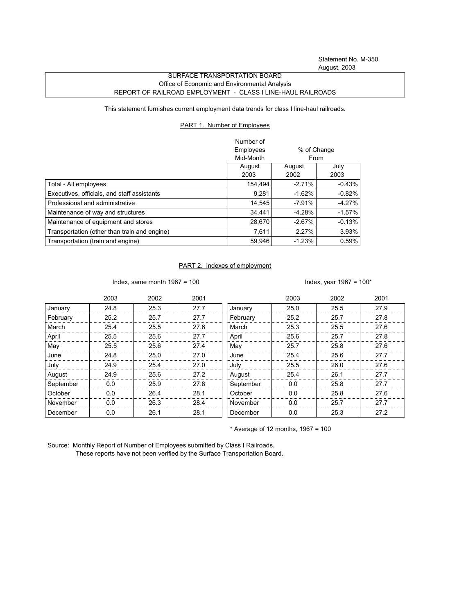Statement No. M-350 August, 2003

## SURFACE TRANSPORTATION BOARD Office of Economic and Environmental Analysis REPORT OF RAILROAD EMPLOYMENT - CLASS I LINE-HAUL RAILROADS

This statement furnishes current employment data trends for class I line-haul railroads.

## PART 1. Number of Employees

|                                              | Number of |                            |           |
|----------------------------------------------|-----------|----------------------------|-----------|
|                                              | Employees | % of Change<br><b>From</b> |           |
|                                              | Mid-Month |                            |           |
|                                              | August    | August                     | July      |
|                                              | 2003      | 2002                       | 2003      |
| Total - All employees                        | 154,494   | $-2.71%$                   | $-0.43\%$ |
| Executives, officials, and staff assistants  | 9.281     | $-1.62%$                   | $-0.82%$  |
| Professional and administrative              | 14.545    | $-7.91%$                   | -4.27%    |
| Maintenance of way and structures            | 34.441    | $-4.28%$                   | $-1.57%$  |
| Maintenance of equipment and stores          | 28,670    | $-2.67%$                   | $-0.13%$  |
| Transportation (other than train and engine) | 7.611     | 2.27%                      | 3.93%     |
| Transportation (train and engine)            | 59.946    | $-1.23%$                   | 0.59%     |

## PART 2. Indexes of employment

Index, same month 1967 = 100  $\blacksquare$ 

|           | 2003 | 2002 | 2001 |           | 2003 | 2002 | 2001 |
|-----------|------|------|------|-----------|------|------|------|
| January   | 24.8 | 25.3 | 27.7 | January   | 25.0 | 25.5 | 27.9 |
| February  | 25.2 | 25.7 | 27.7 | February  | 25.2 | 25.7 | 27.8 |
| March     | 25.4 | 25.5 | 27.6 | March     | 25.3 | 25.5 | 27.6 |
| April     | 25.5 | 25.6 | 27.7 | April     | 25.6 | 25.7 | 27.8 |
| May       | 25.5 | 25.6 | 27.4 | May       | 25.7 | 25.8 | 27.6 |
| June      | 24.8 | 25.0 | 27.0 | June      | 25.4 | 25.6 | 27.7 |
| July      | 24.9 | 25.4 | 27.0 | July      | 25.5 | 26.0 | 27.6 |
| August    | 24.9 | 25.6 | 27.2 | August    | 25.4 | 26.1 | 27.7 |
| September | 0.0  | 25.9 | 27.8 | September | 0.0  | 25.8 | 27.7 |
| October   | 0.0  | 26.4 | 28.1 | October   | 0.0  | 25.8 | 27.6 |
| November  | 0.0  | 26.3 | 28.4 | November  | 0.0  | 25.7 | 27.7 |
| December  | 0.0  | 26.1 | 28.1 | December  | 0.0  | 25.3 | 27.2 |

 $*$  Average of 12 months, 1967 = 100

Source: Monthly Report of Number of Employees submitted by Class I Railroads. These reports have not been verified by the Surface Transportation Board.